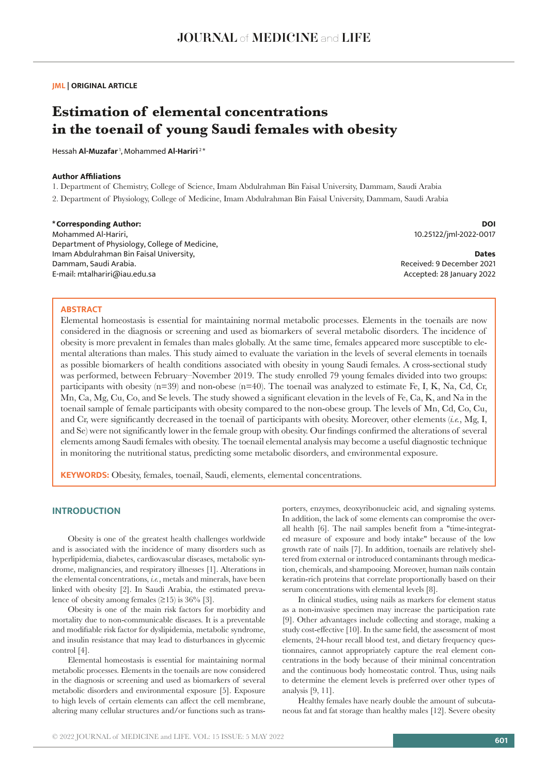**JML | ORIGINAL ARTICLE**

# **Estimation of elemental concentrations in the toenail of young Saudi females with obesity**

Hessah **Al-Muzafar** 1, Mohammed **Al-Hariri** 2 \*

#### **Author Affiliations**

1. Department of Chemistry, College of Science, Imam Abdulrahman Bin Faisal University, Dammam, Saudi Arabia 2. Department of Physiology, College of Medicine, Imam Abdulrahman Bin Faisal University, Dammam, Saudi Arabia

# **\*Corresponding Author:** Mohammed Al-Hariri,

**DOI** 10.25122/jml-2022-0017

Department of Physiology, College of Medicine, Imam Abdulrahman Bin Faisal University, Dammam, Saudi Arabia. E-mail: mtalhariri@iau.edu.sa

**Dates** Received: 9 December 2021 Accepted: 28 January 2022

#### **ABSTRACT**

Elemental homeostasis is essential for maintaining normal metabolic processes. Elements in the toenails are now considered in the diagnosis or screening and used as biomarkers of several metabolic disorders. The incidence of obesity is more prevalent in females than males globally. At the same time, females appeared more susceptible to elemental alterations than males. This study aimed to evaluate the variation in the levels of several elements in toenails as possible biomarkers of health conditions associated with obesity in young Saudi females. A cross-sectional study was performed, between February–November 2019. The study enrolled 79 young females divided into two groups: participants with obesity  $(n=39)$  and non-obese  $(n=40)$ . The toenail was analyzed to estimate Fe, I, K, Na, Cd, Cr, Mn, Ca, Mg, Cu, Co, and Se levels. The study showed a significant elevation in the levels of Fe, Ca, K, and Na in the toenail sample of female participants with obesity compared to the non-obese group. The levels of Mn, Cd, Co, Cu, and Cr, were significantly decreased in the toenail of participants with obesity. Moreover, other elements (*i.e.*, Mg, I, and Se) were not significantly lower in the female group with obesity. Our findings confirmed the alterations of several elements among Saudi females with obesity. The toenail elemental analysis may become a useful diagnostic technique in monitoring the nutritional status, predicting some metabolic disorders, and environmental exposure.

**KEYWORDS:** Obesity, females, toenail, Saudi, elements, elemental concentrations.

# **INTRODUCTION**

Obesity is one of the greatest health challenges worldwide and is associated with the incidence of many disorders such as hyperlipidemia, diabetes, cardiovascular diseases, metabolic syndrome, malignancies, and respiratory illnesses [1]. Alterations in the elemental concentrations, *i.e.*, metals and minerals, have been linked with obesity [2]. In Saudi Arabia, the estimated prevalence of obesity among females  $(\geq 15)$  is 36% [3].

Obesity is one of the main risk factors for morbidity and mortality due to non-communicable diseases. It is a preventable and modifiable risk factor for dyslipidemia, metabolic syndrome, and insulin resistance that may lead to disturbances in glycemic control [4].

Elemental homeostasis is essential for maintaining normal metabolic processes. Elements in the toenails are now considered in the diagnosis or screening and used as biomarkers of several metabolic disorders and environmental exposure [5]. Exposure to high levels of certain elements can affect the cell membrane, altering many cellular structures and/or functions such as transporters, enzymes, deoxyribonucleic acid, and signaling systems. In addition, the lack of some elements can compromise the overall health [6]. The nail samples benefit from a "time-integrated measure of exposure and body intake" because of the low growth rate of nails [7]. In addition, toenails are relatively sheltered from external or introduced contaminants through medication, chemicals, and shampooing. Moreover, human nails contain keratin-rich proteins that correlate proportionally based on their serum concentrations with elemental levels [8].

In clinical studies, using nails as markers for element status as a non-invasive specimen may increase the participation rate [9]. Other advantages include collecting and storage, making a study cost-effective [10]. In the same field, the assessment of most elements, 24-hour recall blood test, and dietary frequency questionnaires, cannot appropriately capture the real element concentrations in the body because of their minimal concentration and the continuous body homeostatic control. Thus, using nails to determine the element levels is preferred over other types of analysis [9, 11].

Healthy females have nearly double the amount of subcutaneous fat and fat storage than healthy males [12]. Severe obesity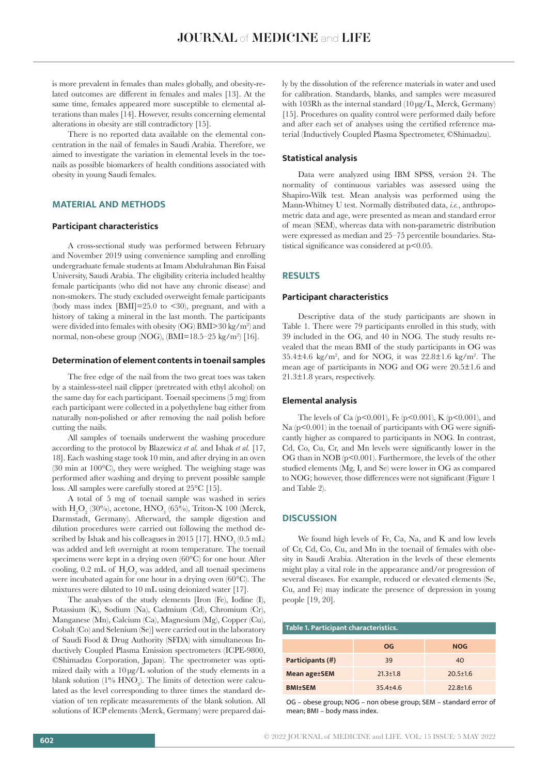is more prevalent in females than males globally, and obesity-related outcomes are different in females and males [13]. At the same time, females appeared more susceptible to elemental alterations than males [14]. However, results concerning elemental alterations in obesity are still contradictory [15].

There is no reported data available on the elemental concentration in the nail of females in Saudi Arabia. Therefore, we aimed to investigate the variation in elemental levels in the toenails as possible biomarkers of health conditions associated with obesity in young Saudi females.

# **MATERIAL AND METHODS**

#### **Participant characteristics**

A cross-sectional study was performed between February and November 2019 using convenience sampling and enrolling undergraduate female students at Imam Abdulrahman Bin Faisal University, Saudi Arabia. The eligibility criteria included healthy female participants (who did not have any chronic disease) and non-smokers. The study excluded overweight female participants (body mass index  $[BMI]=25.0$  to  $\lt30$ ), pregnant, and with a history of taking a mineral in the last month. The participants were divided into females with obesity (OG) BMI>30 kg/m<sup>2</sup> ) and normal, non-obese group (NOG), (BMI=18.5–25 kg/m<sup>2</sup> ) [16].

#### **Determination of element contents in toenail samples**

The free edge of the nail from the two great toes was taken by a stainless-steel nail clipper (pretreated with ethyl alcohol) on the same day for each participant. Toenail specimens (5 mg) from each participant were collected in a polyethylene bag either from naturally non-polished or after removing the nail polish before cutting the nails.

All samples of toenails underwent the washing procedure according to the protocol by Blazewicz *et al.* and Ishak *et al.* [17, 18]. Each washing stage took 10 min, and after drying in an oven (30 min at 100°C), they were weighed. The weighing stage was performed after washing and drying to prevent possible sample loss. All samples were carefully stored at 25°C [15].

A total of 5 mg of toenail sample was washed in series with  $H_2O_2$  (30%), acetone,  $HNO_3$  (65%), Triton-X 100 (Merck, Darmstadt, Germany). Afterward, the sample digestion and dilution procedures were carried out following the method described by Ishak and his colleagues in 2015 [17].  $\rm HNO_3^{\phantom i} (0.5\rm\,mL)$ was added and left overnight at room temperature. The toenail specimens were kept in a drying oven (60°C) for one hour. After cooling, 0.2 mL of  $H_2O_2$  was added, and all toenail specimens were incubated again for one hour in a drying oven (60°C). The mixtures were diluted to 10 mL using deionized water [17].

The analyses of the study elements [Iron (Fe), Iodine (I), Potassium (K), Sodium (Na), Cadmium (Cd), Chromium (Cr), Manganese (Mn), Calcium (Ca), Magnesium (Mg), Copper (Cu), Cobalt (Co) and Selenium (Se)] were carried out in the laboratory of Saudi Food & Drug Authority (SFDA) with simultaneous Inductively Coupled Plasma Emission spectrometers (ICPE-9800, ©Shimadzu Corporation, Japan). The spectrometer was optimized daily with a 10 μg/L solution of the study elements in a blank solution (1%  $\rm HNO_3$ ). The limits of detection were calculated as the level corresponding to three times the standard deviation of ten replicate measurements of the blank solution. All solutions of ICP elements (Merck, Germany) were prepared daily by the dissolution of the reference materials in water and used for calibration. Standards, blanks, and samples were measured with 103Rh as the internal standard (10μg/L, Merck, Germany) [15]. Procedures on quality control were performed daily before and after each set of analyses using the certified reference material (Inductively Coupled Plasma Spectrometer, ©Shimadzu).

#### **Statistical analysis**

Data were analyzed using IBM SPSS, version 24. The normality of continuous variables was assessed using the Shapiro-Wilk test. Mean analysis was performed using the Mann-Whitney U test. Normally distributed data, *i.e.*, anthropometric data and age, were presented as mean and standard error of mean (SEM), whereas data with non-parametric distribution were expressed as median and 25–75 percentile boundaries. Statistical significance was considered at  $p<0.05$ .

#### **RESULTS**

#### **Participant characteristics**

Descriptive data of the study participants are shown in Table 1. There were 79 participants enrolled in this study, with 39 included in the OG, and 40 in NOG. The study results revealed that the mean BMI of the study participants in OG was  $35.4\pm4.6$  kg/m<sup>2</sup>, and for NOG, it was  $22.8\pm1.6$  kg/m<sup>2</sup>. The mean age of participants in NOG and OG were 20.5±1.6 and 21.3±1.8 years, respectively.

#### **Elemental analysis**

The levels of Ca (p<0.001), Fe (p<0.001), K (p<0.001), and Na  $(p<0.001)$  in the toenail of participants with OG were significantly higher as compared to participants in NOG. In contrast, Cd, Co, Cu, Cr, and Mn levels were significantly lower in the OG than in NOB (p<0.001). Furthermore, the levels of the other studied elements (Mg, I, and Se) were lower in OG as compared to NOG; however, those differences were not significant (Figure 1 and Table 2).

#### **DISCUSSION**

We found high levels of Fe, Ca, Na, and K and low levels of Cr, Cd, Co, Cu, and Mn in the toenail of females with obesity in Saudi Arabia. Alteration in the levels of these elements might play a vital role in the appearance and/or progression of several diseases. For example, reduced or elevated elements (Se, Cu, and Fe) may indicate the presence of depression in young people [19, 20].

| Table 1. Participant characteristics. |                |                |  |  |
|---------------------------------------|----------------|----------------|--|--|
|                                       | OG.            | <b>NOG</b>     |  |  |
| Participants (#)                      | 39             | 40             |  |  |
| Mean age±SEM                          | $21.3 \pm 1.8$ | $20.5 \pm 1.6$ |  |  |
| <b>BMI±SEM</b>                        | $35.4 + 4.6$   | $22.8 \pm 1.6$ |  |  |

OG – obese group; NOG – non obese group; SEM – standard error of mean; BMI – body mass index.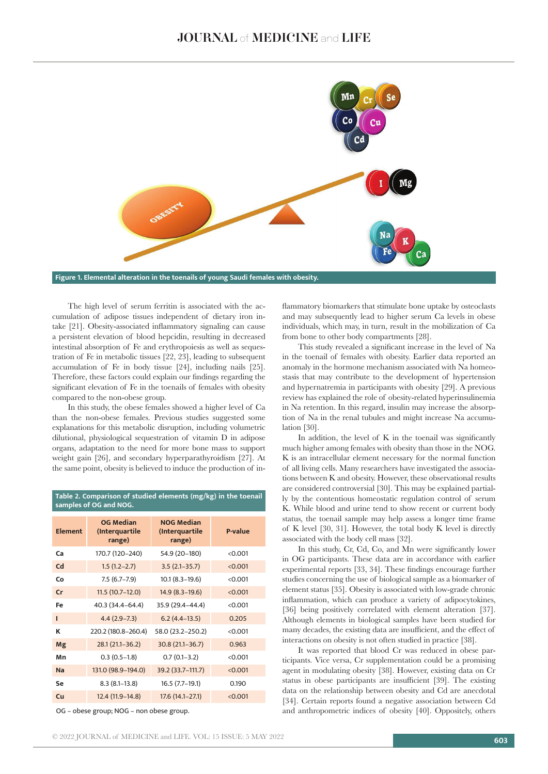

The high level of serum ferritin is associated with the accumulation of adipose tissues independent of dietary iron intake [21]. Obesity-associated inflammatory signaling can cause a persistent elevation of blood hepcidin, resulting in decreased intestinal absorption of Fe and erythropoiesis as well as sequestration of Fe in metabolic tissues [22, 23], leading to subsequent accumulation of Fe in body tissue [24], including nails [25]. Therefore, these factors could explain our findings regarding the significant elevation of Fe in the toenails of females with obesity compared to the non-obese group.

In this study, the obese females showed a higher level of Ca than the non-obese females. Previous studies suggested some explanations for this metabolic disruption, including volumetric dilutional, physiological sequestration of vitamin D in adipose organs, adaptation to the need for more bone mass to support weight gain [26], and secondary hyperparathyroidism [27]. At the same point, obesity is believed to induce the production of in-

**Table 2. Comparison of studied elements (mg/kg) in the toenail** 

| samples of OG and NOG. |                                              |                                               |         |  |
|------------------------|----------------------------------------------|-----------------------------------------------|---------|--|
| <b>Element</b>         | <b>OG Median</b><br>(Interquartile<br>range) | <b>NOG Median</b><br>(Interquartile<br>range) | P-value |  |
| Ca                     | 170.7 (120–240)                              | 54.9 (20–180)                                 | < 0.001 |  |
| Cd                     | $1.5(1.2 - 2.7)$                             | $3.5(2.1 - 35.7)$                             | < 0.001 |  |
| Co                     | $7.5(6.7-7.9)$                               | $10.1 (8.3 - 19.6)$                           | < 0.001 |  |
| cr                     | $11.5(10.7-12.0)$                            | $14.9(8.3-19.6)$                              | < 0.001 |  |
| Fe                     | 40.3 (34.4–64.4)                             | 35.9 (29.4-44.4)                              | < 0.001 |  |
| п                      | $4.4(2.9 - 7.3)$                             | $6.2(4.4-13.5)$                               | 0.205   |  |
| κ                      | 220.2 (180.8-260.4)                          | 58.0 (23.2-250.2)                             | < 0.001 |  |
| Mg                     | $28.1(21.1 - 36.2)$                          | $30.8(21.1 - 36.7)$                           | 0.963   |  |
| Mn                     | $0.3(0.5-1.8)$                               | $0.7(0.1-3.2)$                                | < 0.001 |  |
| <b>Na</b>              | 131.0 (98.9-194.0)                           | 39.2 (33.7-111.7)                             | < 0.001 |  |
| Se                     | $8.3(8.1-13.8)$                              | 16.5 (7.7-19.1)                               | 0.190   |  |
| Cu                     | 12.4 (11.9-14.8)                             | $17.6(14.1 - 27.1)$                           | < 0.001 |  |

OG – obese group; NOG – non obese group.

flammatory biomarkers that stimulate bone uptake by osteoclasts and may subsequently lead to higher serum Ca levels in obese individuals, which may, in turn, result in the mobilization of Ca from bone to other body compartments [28].

This study revealed a significant increase in the level of Na in the toenail of females with obesity. Earlier data reported an anomaly in the hormone mechanism associated with Na homeostasis that may contribute to the development of hypertension and hypernatremia in participants with obesity [29]. A previous review has explained the role of obesity-related hyperinsulinemia in Na retention. In this regard, insulin may increase the absorption of Na in the renal tubules and might increase Na accumulation [30].

In addition, the level of K in the toenail was significantly much higher among females with obesity than those in the NOG. K is an intracellular element necessary for the normal function of all living cells. Many researchers have investigated the associations between K and obesity. However, these observational results are considered controversial [30]. This may be explained partially by the contentious homeostatic regulation control of serum K. While blood and urine tend to show recent or current body status, the toenail sample may help assess a longer time frame of K level [30, 31]. However, the total body K level is directly associated with the body cell mass [32].

In this study, Cr, Cd, Co, and Mn were significantly lower in OG participants. These data are in accordance with earlier experimental reports [33, 34]. These findings encourage further studies concerning the use of biological sample as a biomarker of element status [35]. Obesity is associated with low-grade chronic inflammation, which can produce a variety of adipocytokines, [36] being positively correlated with element alteration [37]. Although elements in biological samples have been studied for many decades, the existing data are insufficient, and the effect of interactions on obesity is not often studied in practice [38].

It was reported that blood Cr was reduced in obese participants. Vice versa, Cr supplementation could be a promising agent in modulating obesity [38]. However, existing data on Cr status in obese participants are insufficient [39]. The existing data on the relationship between obesity and Cd are anecdotal [34]. Certain reports found a negative association between Cd and anthropometric indices of obesity [40]. Oppositely, others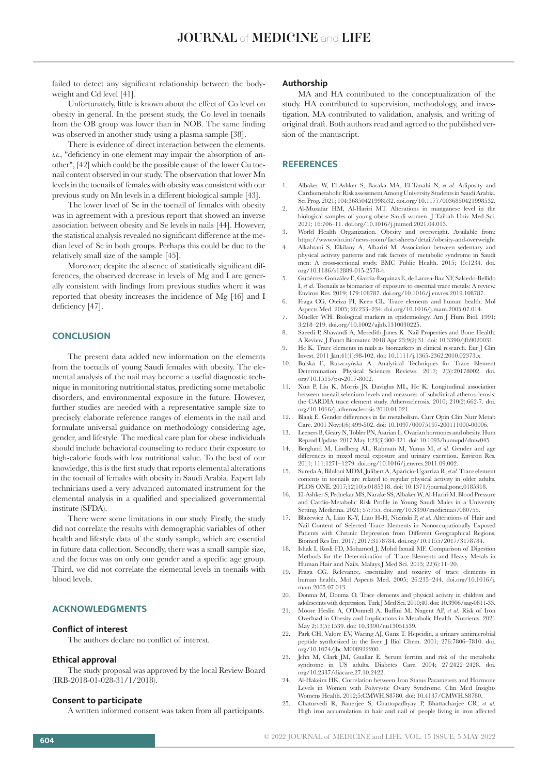failed to detect any significant relationship between the bodyweight and Cd level [41].

Unfortunately, little is known about the effect of Co level on obesity in general. In the present study, the Co level in toenails from the OB group was lower than in NOB. The same finding was observed in another study using a plasma sample [38].

There is evidence of direct interaction between the elements. *i.e.*, "deficiency in one element may impair the absorption of another", [42] which could be the possible cause of the lower Cu toenail content observed in our study. The observation that lower Mn levels in the toenails of females with obesity was consistent with our previous study on Mn levels in a different biological sample [43].

The lower level of Se in the toenail of females with obesity was in agreement with a previous report that showed an inverse association between obesity and Se levels in nails [44]. However, the statistical analysis revealed no significant difference at the median level of Se in both groups. Perhaps this could be due to the relatively small size of the sample [45].

Moreover, despite the absence of statistically significant differences, the observed decrease in levels of Mg and I are generally consistent with findings from previous studies where it was reported that obesity increases the incidence of Mg [46] and I deficiency [47].

## **CONCLUSION**

The present data added new information on the elements from the toenails of young Saudi females with obesity. The elemental analysis of the nail may become a useful diagnostic technique in monitoring nutritional status, predicting some metabolic disorders, and environmental exposure in the future. However, further studies are needed with a representative sample size to precisely elaborate reference ranges of elements in the nail and formulate universal guidance on methodology considering age, gender, and lifestyle. The medical care plan for obese individuals should include behavioral counseling to reduce their exposure to high-calorie foods with low nutritional value. To the best of our knowledge, this is the first study that reports elemental alterations in the toenail of females with obesity in Saudi Arabia. Expert lab technicians used a very advanced automated instrument for the elemental analysis in a qualified and specialized governmental institute (SFDA).

There were some limitations in our study. Firstly, the study did not correlate the results with demographic variables of other health and lifestyle data of the study sample, which are essential in future data collection. Secondly, there was a small sample size, and the focus was on only one gender and a specific age group. Third, we did not correlate the elemental levels in toenails with blood levels.

## **ACKNOWLEDGMENTS**

#### **Conflict of interest**

The authors declare no conflict of interest.

#### **Ethical approval**

The study proposal was approved by the local Review Board (IRB-2018-01-028-31/1/2018).

#### **Consent to participate**

A written informed consent was taken from all participants.

#### **Authorship**

MA and HA contributed to the conceptualization of the study. HA contributed to supervision, methodology, and investigation. MA contributed to validation, analysis, and writing of original draft. Both authors read and agreed to the published version of the manuscript.

#### **REFERENCES**

- 1. Albaker W, El-Ashker S, Baraka MA, El-Tanahi N, *et al.* Adiposity and Cardiometabolic Risk assessment Among University Students in Saudi Arabia. Sci Prog. 2021; 104:36850421998532. doi.org/10.1177/0036850421998532.
- 2. Al-Muzafar HM, Al-Hariri MT. Alterations in manganese level in the biological samples of young obese Saudi women. J Taibah Univ Med Sci. 2021; 16:706–11. doi.org/10.1016/j.jtumed.2021.04.013.
- 3. World Health Organization. Obesity and overweight. Available from: https://www.who.int/news-room/fact-sheets/detail/obesity-and-overweight
- 4. Alkahtani S, Elkilany A, Alhariri M. Association between sedentary and physical activity patterns and risk factors of metabolic syndrome in Saudi men: A cross-sectional study. BMC Public Health. 2015; 15:1234. doi. org/10.1186/s12889-015-2578-4.
- 5. Gutiérrez-González E, García-Esquinas E, de Larrea-Baz NF, Salcedo-Bellido I, *et al.* Toenails as biomarker of exposure to essential trace metals: A review. Environ Res. 2019; 179:108787. doi.org/10.1016/j.envres.2019.108787.
- 6. Fraga CG, Oteiza PI, Keen CL. Trace elements and human health. Mol Aspects Med. 2005; 26:233–234. doi.org/10.1016/j.mam.2005.07.014.
- 7. Mueller WH. Biological markers in epidemiology. Am J Hum Biol. 1991; 3:218–219. doi.org/10.1002/ajhb.1310030225.
- 8. Saeedi P, Shavandi A, Meredith-Jones K. Nail Properties and Bone Health: A Review. J Funct Biomater. 2018 Apr 23;9(2):31. doi: 10.3390/jfb9020031.
- 9. He K. Trace elements in nails as biomarkers in clinical research. Eur J Clin Invest. 2011 Jan;41(1):98-102. doi: 10.1111/j.1365-2362.2010.02373.x.
- 10. Bulska E, Ruszczyńska A. Analytical Techniques for Trace Element Determination. Physical Sciences Reviews. 2017; 2(5):20178002. doi. org/10.1515/psr-2017-8002.
- 11. Xun P, Liu K, Morris JS, Daviglus ML, He K. Longitudinal association between toenail selenium levels and measures of subclinical atherosclerosis: the CARDIA trace element study. Atherosclerosis. 2010; 210(2):662-7. doi. org/10.1016/j.atherosclerosis.2010.01.021.
- 12. Blaak E. Gender differences in fat metabolism. Curr Opin Clin Nutr Metab Care. 2001 Nov;4(6):499-502. doi: 10.1097/00075197-200111000-00006.
- 13. Leeners B, Geary N, Tobler PN, Asarian L. Ovarian hormones and obesity. Hum Reprod Update. 2017 May 1;23(3):300-321. doi: 10.1093/humupd/dmw045.
- 14. Berglund M, Lindberg AL, Rahman M, Yunus M, *et al.* Gender and age differences in mixed metal exposure and urinary excretion. Environ Res. 2011; 111:1271–1279. doi.org/10.1016/j.envres.2011.09.002.
- 15. Sureda A, Bibiloni MDM, Julibert A, Aparicio-Ugarriza R, *et al.* Trace element contents in toenails are related to regular physical activity in older adults. PLOS ONE. 2017;12(10):e0185318. doi: 10.1371/journal.pone.0185318.
- 16. El-Ashker S, Pednekar MS, Narake SS, Albaker W, Al-Hariri M. Blood Pressure and Cardio-Metabolic Risk Profile in Young Saudi Males in a University Setting. Medicina. 2021; 57:755. doi.org/10.3390/medicina57080755.
- 17. Błażewicz A, Liao K-Y, Liao H-H, Niziński P, *et al.* Alterations of Hair and Nail Content of Selected Trace Elements in Nonoccupationally Exposed Patients with Chronic Depression from Different Geographical Regions. Biomed Res Int. 2017; 2017:3178784. doi.org/10.1155/2017/3178784.
- 18. Ishak I, Rosli FD, Mohamed J, Mohd Ismail MF. Comparison of Digestion Methods for the Determination of Trace Elements and Heavy Metals in Human Hair and Nails. Malays J Med Sci. 2015; 22(6):11–20.
- 19. Fraga CG. Relevance, essentiality and toxicity of trace elements in human health. Mol Aspects Med. 2005; 26:235–244. doi.org/10.1016/j. mam.2005.07.013.
- 20. Donma M, Donma O. Trace elements and physical activity in children and adolescents with depression. Turk J Med Sci. 2010;40. doi: 10.3906/sag-0811-33.
- 21. Moore Heslin A, O'Donnell A, Buffini M, Nugent AP, *et al.* Risk of Iron Overload in Obesity and Implications in Metabolic Health. Nutrients. 2021 May 2;13(5):1539. doi: 10.3390/nu13051539.
- 22. Park CH, Valore EV, Waring AJ, Ganz T. Hepcidin, a urinary antimicrobial peptide synthesized in the liver. J Biol Chem. 2001; 276:7806–7810. doi. org/10.1074/jbc.M008922200.
- 23. Jehn M, Clark JM, Guallar E. Serum ferritin and risk of the metabolic syndrome in US adults. Diabetes Care. 2004; 27:2422–2428. doi. org/10.2337/diacare.27.10.2422.
- 24. Al-Hakeim HK. Correlation between Iron Status Parameters and Hormone Levels in Women with Polycystic Ovary Syndrome. Clin Med Insights Womens Health. 2012;5:CMWH.S8780. doi: 10.4137/CMWH.S8780.
- 25. Chaturvedi R, Banerjee S, Chattopadhyay P, Bhattacharjee CR, *et al.* High iron accumulation in hair and nail of people living in iron affected